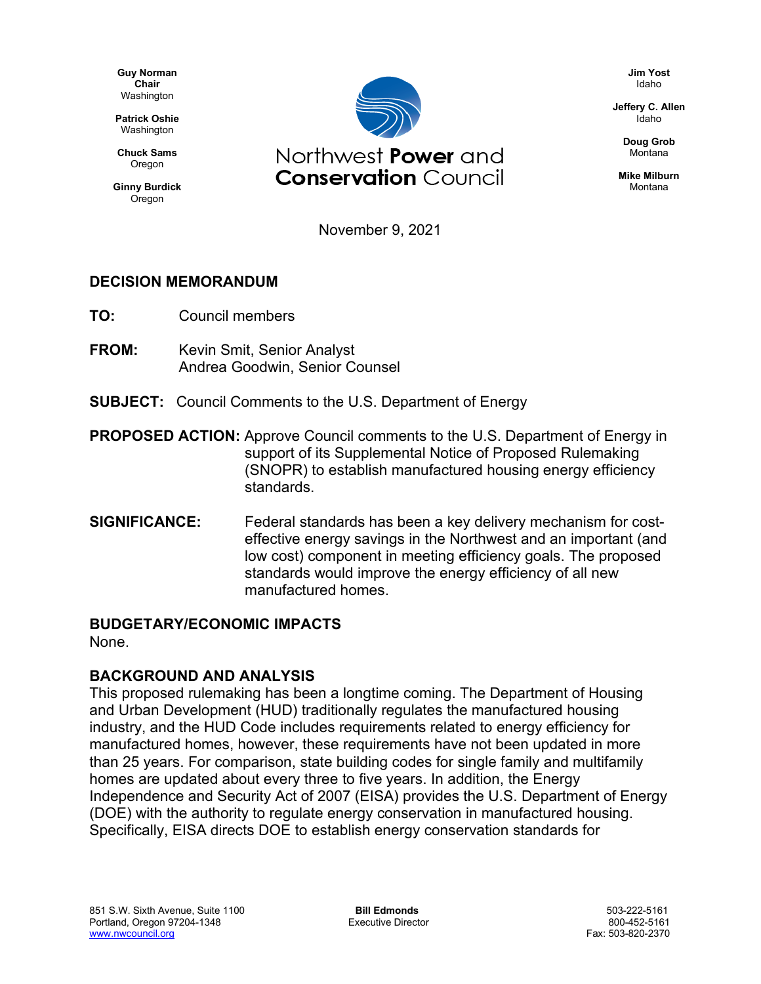**Guy Norman Chair** Washington

**Patrick Oshie** Washington

**Chuck Sams** Oregon

**Ginny Burdick** Oregon



**Jim Yost** Idaho

**Jeffery C. Allen** Idaho

> **Doug Grob** Montana

**Mike Milburn** Montana

November 9, 2021

## **DECISION MEMORANDUM**

- **TO:** Council members
- **FROM:** Kevin Smit, Senior Analyst Andrea Goodwin, Senior Counsel
- **SUBJECT:** Council Comments to the U.S. Department of Energy
- **PROPOSED ACTION:** Approve Council comments to the U.S. Department of Energy in support of its Supplemental Notice of Proposed Rulemaking (SNOPR) to establish manufactured housing energy efficiency standards.
- **SIGNIFICANCE:** Federal standards has been a key delivery mechanism for costeffective energy savings in the Northwest and an important (and low cost) component in meeting efficiency goals. The proposed standards would improve the energy efficiency of all new manufactured homes.

## **BUDGETARY/ECONOMIC IMPACTS**

None.

## **BACKGROUND AND ANALYSIS**

This proposed rulemaking has been a longtime coming. The Department of Housing and Urban Development (HUD) traditionally regulates the manufactured housing industry, and the HUD Code includes requirements related to energy efficiency for manufactured homes, however, these requirements have not been updated in more than 25 years. For comparison, state building codes for single family and multifamily homes are updated about every three to five years. In addition, the Energy Independence and Security Act of 2007 (EISA) provides the U.S. Department of Energy (DOE) with the authority to regulate energy conservation in manufactured housing. Specifically, EISA directs DOE to establish energy conservation standards for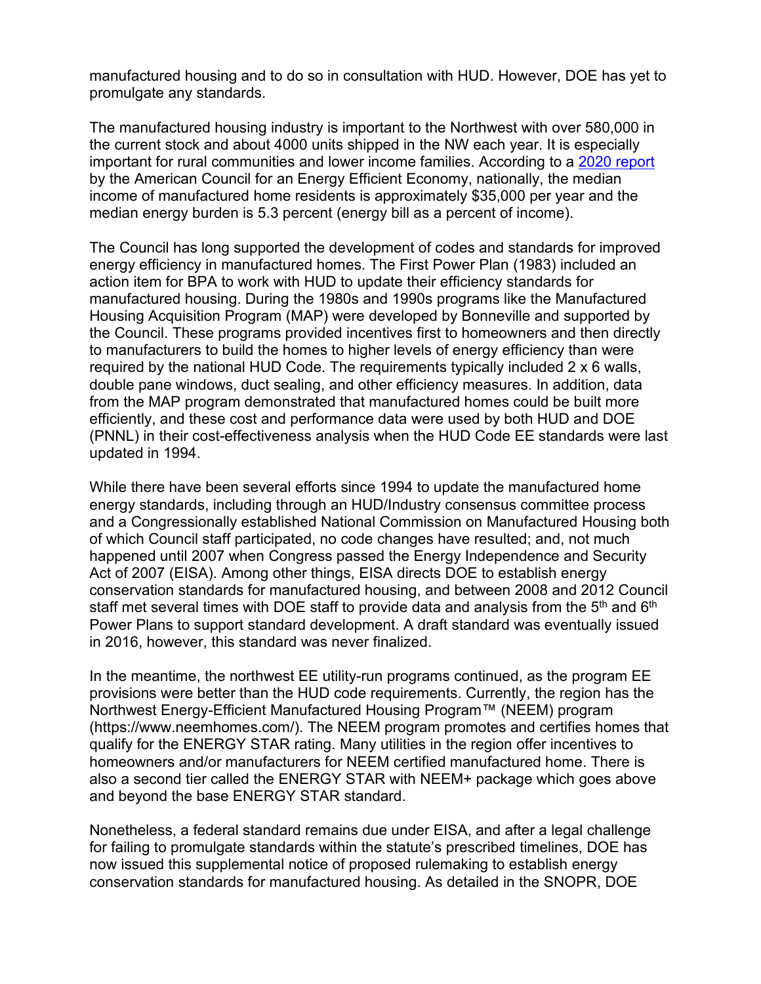manufactured housing and to do so in consultation with HUD. However, DOE has yet to promulgate any standards.

The manufactured housing industry is important to the Northwest with over 580,000 in the current stock and about 4000 units shipped in the NW each year. It is especially important for rural communities and lower income families. According to a [2020 report](https://www.aceee.org/sites/default/files/pdfs/u2006.pdf) by the American Council for an Energy Efficient Economy, nationally, the median income of manufactured home residents is approximately \$35,000 per year and the median energy burden is 5.3 percent (energy bill as a percent of income).

The Council has long supported the development of codes and standards for improved energy efficiency in manufactured homes. The First Power Plan (1983) included an action item for BPA to work with HUD to update their efficiency standards for manufactured housing. During the 1980s and 1990s programs like the Manufactured Housing Acquisition Program (MAP) were developed by Bonneville and supported by the Council. These programs provided incentives first to homeowners and then directly to manufacturers to build the homes to higher levels of energy efficiency than were required by the national HUD Code. The requirements typically included 2 x 6 walls, double pane windows, duct sealing, and other efficiency measures. In addition, data from the MAP program demonstrated that manufactured homes could be built more efficiently, and these cost and performance data were used by both HUD and DOE (PNNL) in their cost-effectiveness analysis when the HUD Code EE standards were last updated in 1994.

While there have been several efforts since 1994 to update the manufactured home energy standards, including through an HUD/Industry consensus committee process and a Congressionally established National Commission on Manufactured Housing both of which Council staff participated, no code changes have resulted; and, not much happened until 2007 when Congress passed the Energy Independence and Security Act of 2007 (EISA). Among other things, EISA directs DOE to establish energy conservation standards for manufactured housing, and between 2008 and 2012 Council staff met several times with DOE staff to provide data and analysis from the  $5<sup>th</sup>$  and  $6<sup>th</sup>$ Power Plans to support standard development. A draft standard was eventually issued in 2016, however, this standard was never finalized.

In the meantime, the northwest EE utility-run programs continued, as the program EE provisions were better than the HUD code requirements. Currently, the region has the Northwest Energy-Efficient Manufactured Housing Program™ (NEEM) program [\(https://www.neemhomes.com/\)](https://www.neemhomes.com/). The NEEM program promotes and certifies homes that qualify for the ENERGY STAR rating. Many utilities in the region offer incentives to homeowners and/or manufacturers for NEEM certified manufactured home. There is also a second tier called the ENERGY STAR with NEEM+ package which goes above and beyond the base ENERGY STAR standard.

Nonetheless, a federal standard remains due under EISA, and after a legal challenge for failing to promulgate standards within the statute's prescribed timelines, DOE has now issued this supplemental notice of proposed rulemaking to establish energy conservation standards for manufactured housing. As detailed in the SNOPR, DOE